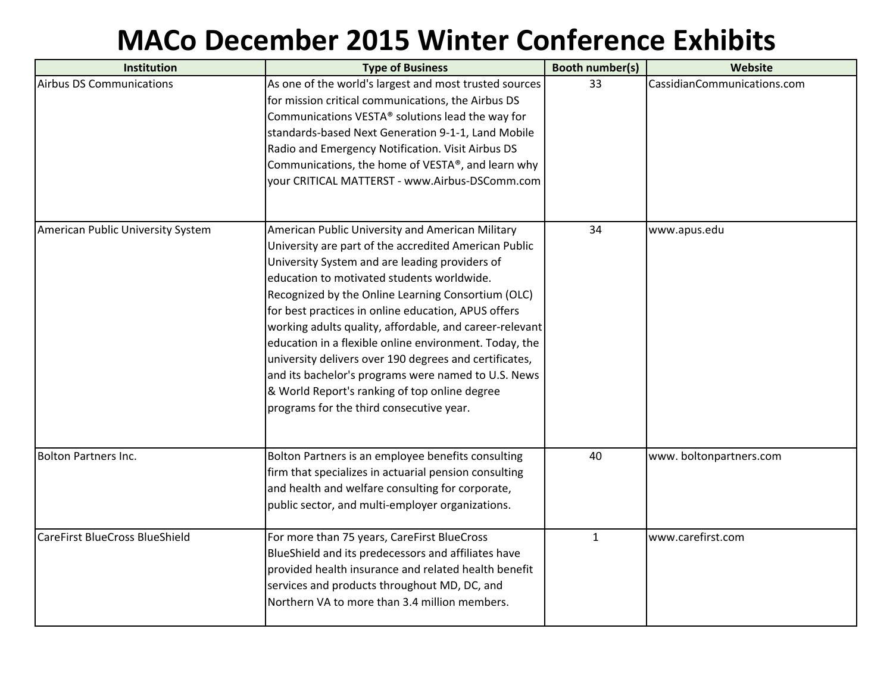## **MACo December 2015 Winter Conference Exhibits**

| Institution                           | <b>Type of Business</b>                                                                                                                                                                                                                                                                                                                                                                                                                                                                                                                                                                                                                                   | <b>Booth number(s)</b> | Website                     |
|---------------------------------------|-----------------------------------------------------------------------------------------------------------------------------------------------------------------------------------------------------------------------------------------------------------------------------------------------------------------------------------------------------------------------------------------------------------------------------------------------------------------------------------------------------------------------------------------------------------------------------------------------------------------------------------------------------------|------------------------|-----------------------------|
| <b>Airbus DS Communications</b>       | As one of the world's largest and most trusted sources<br>for mission critical communications, the Airbus DS<br>Communications VESTA® solutions lead the way for<br>standards-based Next Generation 9-1-1, Land Mobile<br>Radio and Emergency Notification. Visit Airbus DS<br>Communications, the home of VESTA®, and learn why<br>your CRITICAL MATTERST - www.Airbus-DSComm.com                                                                                                                                                                                                                                                                        | 33                     | CassidianCommunications.com |
| American Public University System     | American Public University and American Military<br>University are part of the accredited American Public<br>University System and are leading providers of<br>education to motivated students worldwide.<br>Recognized by the Online Learning Consortium (OLC)<br>for best practices in online education, APUS offers<br>working adults quality, affordable, and career-relevant<br>education in a flexible online environment. Today, the<br>university delivers over 190 degrees and certificates,<br>and its bachelor's programs were named to U.S. News<br>& World Report's ranking of top online degree<br>programs for the third consecutive year. | 34                     | www.apus.edu                |
| <b>Bolton Partners Inc.</b>           | Bolton Partners is an employee benefits consulting<br>firm that specializes in actuarial pension consulting<br>and health and welfare consulting for corporate,<br>public sector, and multi-employer organizations.                                                                                                                                                                                                                                                                                                                                                                                                                                       | 40                     | www.boltonpartners.com      |
| <b>CareFirst BlueCross BlueShield</b> | For more than 75 years, CareFirst BlueCross<br>BlueShield and its predecessors and affiliates have<br>provided health insurance and related health benefit<br>services and products throughout MD, DC, and<br>Northern VA to more than 3.4 million members.                                                                                                                                                                                                                                                                                                                                                                                               | $\mathbf{1}$           | www.carefirst.com           |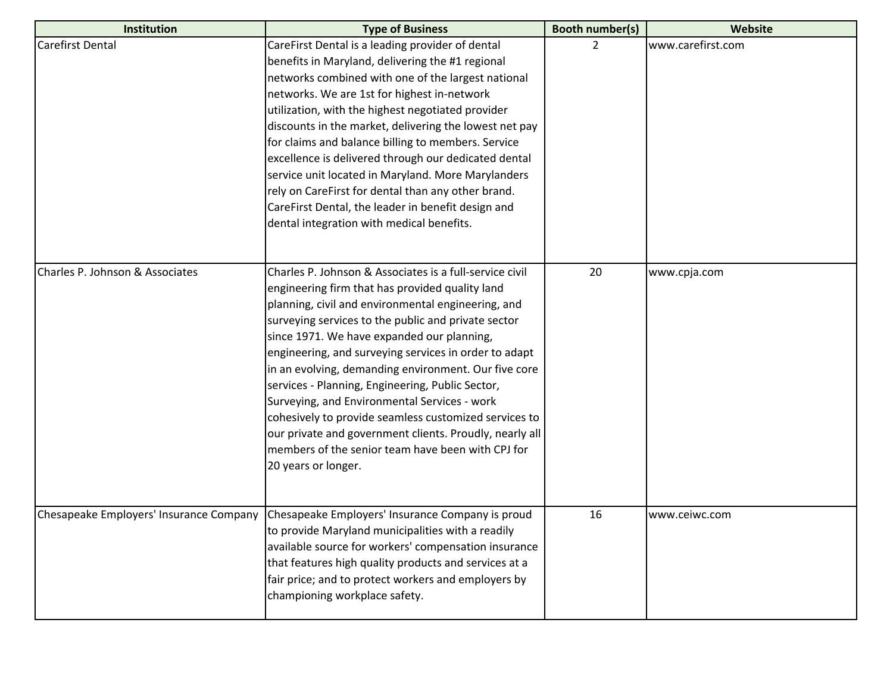| <b>Institution</b>              | <b>Type of Business</b>                                                                                                                                                                                                                                                                                                                                                                                                                                                                                                                                                                                                                                                                    | Booth number(s) | Website           |
|---------------------------------|--------------------------------------------------------------------------------------------------------------------------------------------------------------------------------------------------------------------------------------------------------------------------------------------------------------------------------------------------------------------------------------------------------------------------------------------------------------------------------------------------------------------------------------------------------------------------------------------------------------------------------------------------------------------------------------------|-----------------|-------------------|
| <b>Carefirst Dental</b>         | CareFirst Dental is a leading provider of dental<br>benefits in Maryland, delivering the #1 regional<br>networks combined with one of the largest national<br>networks. We are 1st for highest in-network<br>utilization, with the highest negotiated provider<br>discounts in the market, delivering the lowest net pay<br>for claims and balance billing to members. Service<br>excellence is delivered through our dedicated dental<br>service unit located in Maryland. More Marylanders<br>rely on CareFirst for dental than any other brand.<br>CareFirst Dental, the leader in benefit design and<br>dental integration with medical benefits.                                      | $\overline{2}$  | www.carefirst.com |
| Charles P. Johnson & Associates | Charles P. Johnson & Associates is a full-service civil<br>engineering firm that has provided quality land<br>planning, civil and environmental engineering, and<br>surveying services to the public and private sector<br>since 1971. We have expanded our planning,<br>engineering, and surveying services in order to adapt<br>in an evolving, demanding environment. Our five core<br>services - Planning, Engineering, Public Sector,<br>Surveying, and Environmental Services - work<br>cohesively to provide seamless customized services to<br>our private and government clients. Proudly, nearly all<br>members of the senior team have been with CPJ for<br>20 years or longer. | 20              | www.cpja.com      |
|                                 | Chesapeake Employers' Insurance Company   Chesapeake Employers' Insurance Company is proud<br>to provide Maryland municipalities with a readily<br>available source for workers' compensation insurance<br>that features high quality products and services at a<br>fair price; and to protect workers and employers by<br>championing workplace safety.                                                                                                                                                                                                                                                                                                                                   | 16              | www.ceiwc.com     |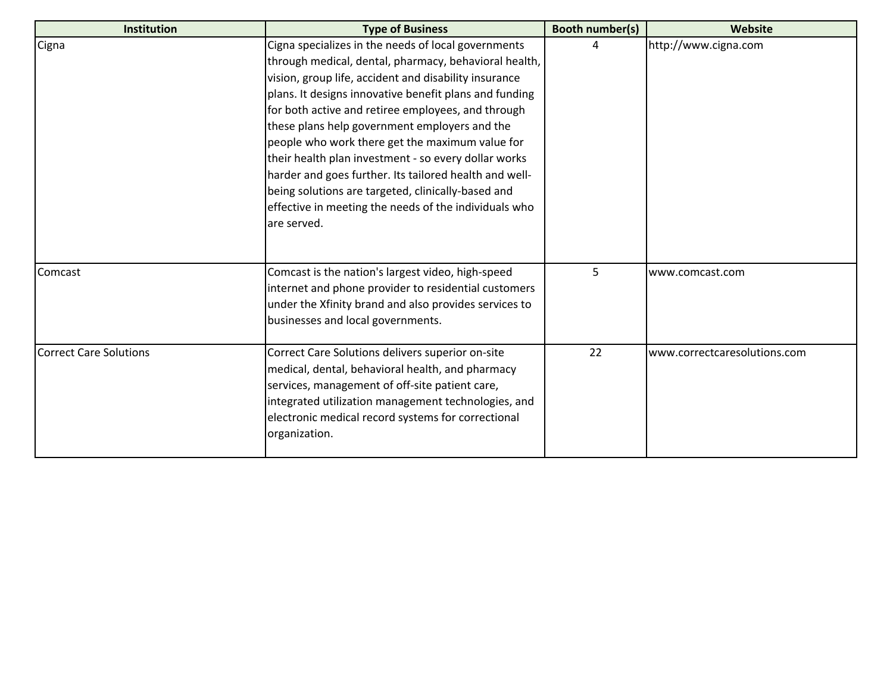| Institution                   | <b>Type of Business</b>                                                                                                                                                                                                                                                                                                                                                                                                                                                                                                                                                                                                                   | <b>Booth number(s)</b> | Website                      |
|-------------------------------|-------------------------------------------------------------------------------------------------------------------------------------------------------------------------------------------------------------------------------------------------------------------------------------------------------------------------------------------------------------------------------------------------------------------------------------------------------------------------------------------------------------------------------------------------------------------------------------------------------------------------------------------|------------------------|------------------------------|
| Cigna                         | Cigna specializes in the needs of local governments<br>through medical, dental, pharmacy, behavioral health,<br>vision, group life, accident and disability insurance<br>plans. It designs innovative benefit plans and funding<br>for both active and retiree employees, and through<br>these plans help government employers and the<br>people who work there get the maximum value for<br>their health plan investment - so every dollar works<br>harder and goes further. Its tailored health and well-<br>being solutions are targeted, clinically-based and<br>effective in meeting the needs of the individuals who<br>are served. | Δ                      | http://www.cigna.com         |
| Comcast                       | Comcast is the nation's largest video, high-speed<br>internet and phone provider to residential customers<br>under the Xfinity brand and also provides services to<br>businesses and local governments.                                                                                                                                                                                                                                                                                                                                                                                                                                   | 5                      | www.comcast.com              |
| <b>Correct Care Solutions</b> | Correct Care Solutions delivers superior on-site<br>medical, dental, behavioral health, and pharmacy<br>services, management of off-site patient care,<br>integrated utilization management technologies, and<br>electronic medical record systems for correctional<br>organization.                                                                                                                                                                                                                                                                                                                                                      | 22                     | www.correctcaresolutions.com |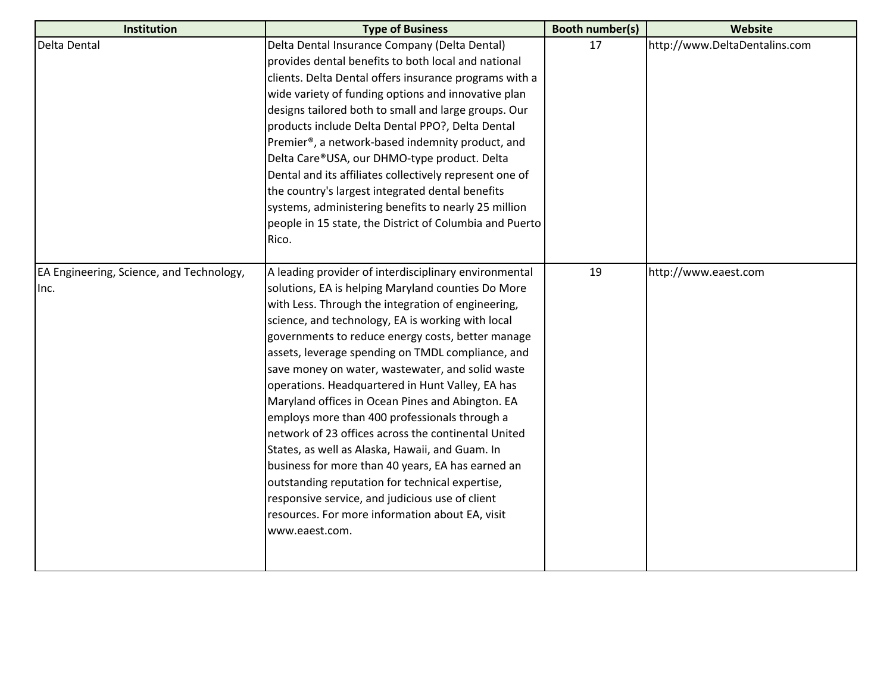| Institution                              | <b>Type of Business</b>                                 | <b>Booth number(s)</b> | Website                       |
|------------------------------------------|---------------------------------------------------------|------------------------|-------------------------------|
| Delta Dental                             | Delta Dental Insurance Company (Delta Dental)           | 17                     | http://www.DeltaDentalins.com |
|                                          | provides dental benefits to both local and national     |                        |                               |
|                                          | clients. Delta Dental offers insurance programs with a  |                        |                               |
|                                          | wide variety of funding options and innovative plan     |                        |                               |
|                                          | designs tailored both to small and large groups. Our    |                        |                               |
|                                          | products include Delta Dental PPO?, Delta Dental        |                        |                               |
|                                          | Premier®, a network-based indemnity product, and        |                        |                               |
|                                          | Delta Care®USA, our DHMO-type product. Delta            |                        |                               |
|                                          | Dental and its affiliates collectively represent one of |                        |                               |
|                                          | the country's largest integrated dental benefits        |                        |                               |
|                                          | systems, administering benefits to nearly 25 million    |                        |                               |
|                                          | people in 15 state, the District of Columbia and Puerto |                        |                               |
|                                          | Rico.                                                   |                        |                               |
| EA Engineering, Science, and Technology, | A leading provider of interdisciplinary environmental   | 19                     | http://www.eaest.com          |
| Inc.                                     | solutions, EA is helping Maryland counties Do More      |                        |                               |
|                                          | with Less. Through the integration of engineering,      |                        |                               |
|                                          | science, and technology, EA is working with local       |                        |                               |
|                                          | governments to reduce energy costs, better manage       |                        |                               |
|                                          | assets, leverage spending on TMDL compliance, and       |                        |                               |
|                                          | save money on water, wastewater, and solid waste        |                        |                               |
|                                          | operations. Headquartered in Hunt Valley, EA has        |                        |                               |
|                                          | Maryland offices in Ocean Pines and Abington. EA        |                        |                               |
|                                          | employs more than 400 professionals through a           |                        |                               |
|                                          | network of 23 offices across the continental United     |                        |                               |
|                                          | States, as well as Alaska, Hawaii, and Guam. In         |                        |                               |
|                                          | business for more than 40 years, EA has earned an       |                        |                               |
|                                          | outstanding reputation for technical expertise,         |                        |                               |
|                                          | responsive service, and judicious use of client         |                        |                               |
|                                          | resources. For more information about EA, visit         |                        |                               |
|                                          | www.eaest.com.                                          |                        |                               |
|                                          |                                                         |                        |                               |
|                                          |                                                         |                        |                               |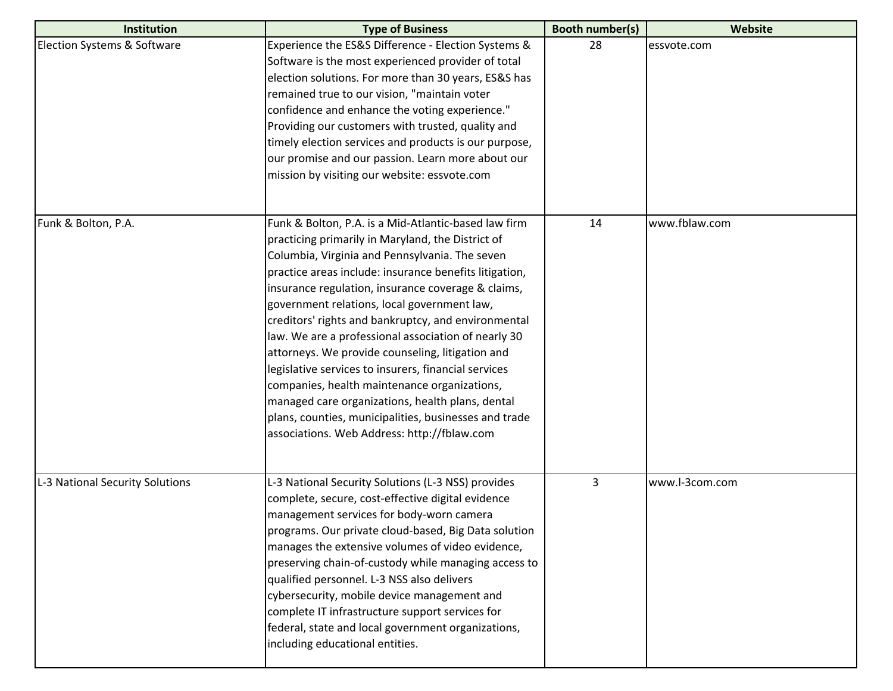| Institution                     | <b>Type of Business</b>                                                                                                                                                                                                                                                                                                                                                                                                                                                                                                                                                                                                                                                                                                                                          | <b>Booth number(s)</b> | Website        |
|---------------------------------|------------------------------------------------------------------------------------------------------------------------------------------------------------------------------------------------------------------------------------------------------------------------------------------------------------------------------------------------------------------------------------------------------------------------------------------------------------------------------------------------------------------------------------------------------------------------------------------------------------------------------------------------------------------------------------------------------------------------------------------------------------------|------------------------|----------------|
| Election Systems & Software     | Experience the ES&S Difference - Election Systems &<br>Software is the most experienced provider of total<br>election solutions. For more than 30 years, ES&S has<br>remained true to our vision, "maintain voter<br>confidence and enhance the voting experience."<br>Providing our customers with trusted, quality and<br>timely election services and products is our purpose,<br>our promise and our passion. Learn more about our<br>mission by visiting our website: essvote.com                                                                                                                                                                                                                                                                           | 28                     | essvote.com    |
| Funk & Bolton, P.A.             | Funk & Bolton, P.A. is a Mid-Atlantic-based law firm<br>practicing primarily in Maryland, the District of<br>Columbia, Virginia and Pennsylvania. The seven<br>practice areas include: insurance benefits litigation,<br>insurance regulation, insurance coverage & claims,<br>government relations, local government law,<br>creditors' rights and bankruptcy, and environmental<br>law. We are a professional association of nearly 30<br>attorneys. We provide counseling, litigation and<br>legislative services to insurers, financial services<br>companies, health maintenance organizations,<br>managed care organizations, health plans, dental<br>plans, counties, municipalities, businesses and trade<br>associations. Web Address: http://fblaw.com | 14                     | www.fblaw.com  |
| L-3 National Security Solutions | L-3 National Security Solutions (L-3 NSS) provides<br>complete, secure, cost-effective digital evidence<br>management services for body-worn camera<br>programs. Our private cloud-based, Big Data solution<br>manages the extensive volumes of video evidence,<br>preserving chain-of-custody while managing access to<br>qualified personnel. L-3 NSS also delivers<br>cybersecurity, mobile device management and<br>complete IT infrastructure support services for<br>federal, state and local government organizations,<br>including educational entities.                                                                                                                                                                                                 | 3                      | www.l-3com.com |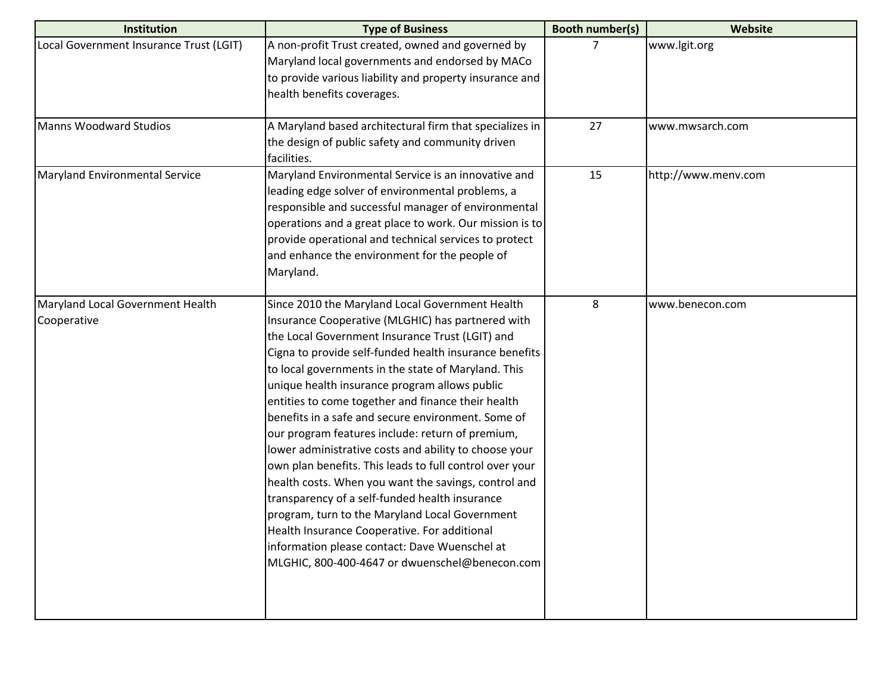| <b>Institution</b>                              | <b>Type of Business</b>                                                                                                                                                                                                                                                                                                                                                                                                                                                                                                                                                                                                                                                                                                                                                                                                                                                                                                      | <b>Booth number(s)</b> | Website             |
|-------------------------------------------------|------------------------------------------------------------------------------------------------------------------------------------------------------------------------------------------------------------------------------------------------------------------------------------------------------------------------------------------------------------------------------------------------------------------------------------------------------------------------------------------------------------------------------------------------------------------------------------------------------------------------------------------------------------------------------------------------------------------------------------------------------------------------------------------------------------------------------------------------------------------------------------------------------------------------------|------------------------|---------------------|
| Local Government Insurance Trust (LGIT)         | A non-profit Trust created, owned and governed by<br>Maryland local governments and endorsed by MACo<br>to provide various liability and property insurance and<br>health benefits coverages.                                                                                                                                                                                                                                                                                                                                                                                                                                                                                                                                                                                                                                                                                                                                | 7                      | www.lgit.org        |
| Manns Woodward Studios                          | A Maryland based architectural firm that specializes in<br>the design of public safety and community driven<br>facilities.                                                                                                                                                                                                                                                                                                                                                                                                                                                                                                                                                                                                                                                                                                                                                                                                   | 27                     | www.mwsarch.com     |
| Maryland Environmental Service                  | Maryland Environmental Service is an innovative and<br>leading edge solver of environmental problems, a<br>responsible and successful manager of environmental<br>operations and a great place to work. Our mission is to<br>provide operational and technical services to protect<br>and enhance the environment for the people of<br>Maryland.                                                                                                                                                                                                                                                                                                                                                                                                                                                                                                                                                                             | 15                     | http://www.menv.com |
| Maryland Local Government Health<br>Cooperative | Since 2010 the Maryland Local Government Health<br>Insurance Cooperative (MLGHIC) has partnered with<br>the Local Government Insurance Trust (LGIT) and<br>Cigna to provide self-funded health insurance benefits<br>to local governments in the state of Maryland. This<br>unique health insurance program allows public<br>entities to come together and finance their health<br>benefits in a safe and secure environment. Some of<br>our program features include: return of premium,<br>lower administrative costs and ability to choose your<br>own plan benefits. This leads to full control over your<br>health costs. When you want the savings, control and<br>transparency of a self-funded health insurance<br>program, turn to the Maryland Local Government<br>Health Insurance Cooperative. For additional<br>information please contact: Dave Wuenschel at<br>MLGHIC, 800-400-4647 or dwuenschel@benecon.com | 8                      | www.benecon.com     |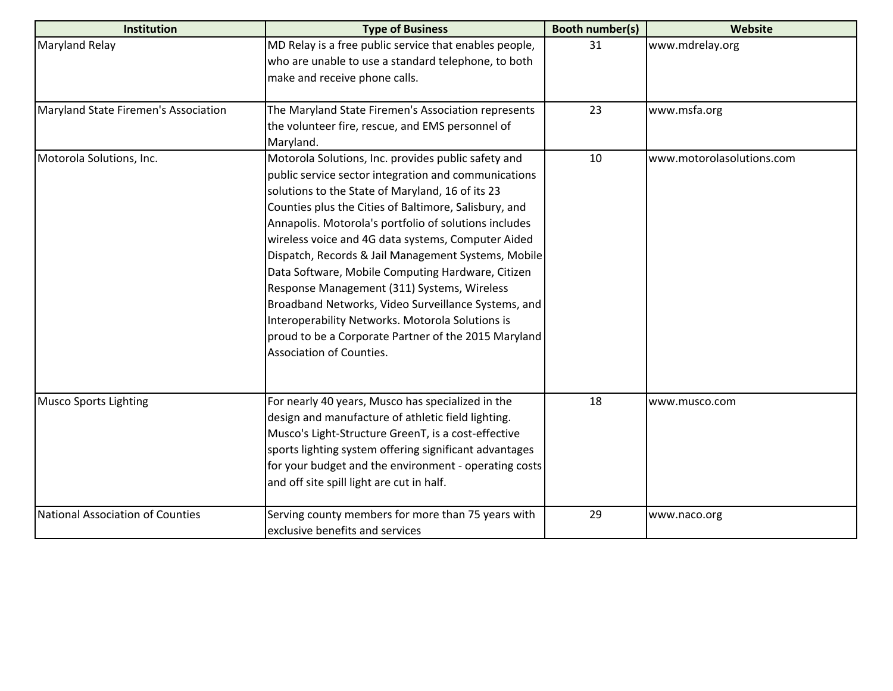| Institution                          | <b>Type of Business</b>                                | <b>Booth number(s)</b> | <b>Website</b>            |
|--------------------------------------|--------------------------------------------------------|------------------------|---------------------------|
| <b>Maryland Relay</b>                | MD Relay is a free public service that enables people, | 31                     | www.mdrelay.org           |
|                                      | who are unable to use a standard telephone, to both    |                        |                           |
|                                      | make and receive phone calls.                          |                        |                           |
| Maryland State Firemen's Association | The Maryland State Firemen's Association represents    | 23                     | www.msfa.org              |
|                                      | the volunteer fire, rescue, and EMS personnel of       |                        |                           |
|                                      | Maryland.                                              |                        |                           |
| Motorola Solutions, Inc.             | Motorola Solutions, Inc. provides public safety and    | 10                     | www.motorolasolutions.com |
|                                      | public service sector integration and communications   |                        |                           |
|                                      | solutions to the State of Maryland, 16 of its 23       |                        |                           |
|                                      | Counties plus the Cities of Baltimore, Salisbury, and  |                        |                           |
|                                      | Annapolis. Motorola's portfolio of solutions includes  |                        |                           |
|                                      | wireless voice and 4G data systems, Computer Aided     |                        |                           |
|                                      | Dispatch, Records & Jail Management Systems, Mobile    |                        |                           |
|                                      | Data Software, Mobile Computing Hardware, Citizen      |                        |                           |
|                                      | Response Management (311) Systems, Wireless            |                        |                           |
|                                      | Broadband Networks, Video Surveillance Systems, and    |                        |                           |
|                                      | Interoperability Networks. Motorola Solutions is       |                        |                           |
|                                      | proud to be a Corporate Partner of the 2015 Maryland   |                        |                           |
|                                      | Association of Counties.                               |                        |                           |
|                                      |                                                        |                        |                           |
| <b>Musco Sports Lighting</b>         | For nearly 40 years, Musco has specialized in the      | 18                     | www.musco.com             |
|                                      | design and manufacture of athletic field lighting.     |                        |                           |
|                                      | Musco's Light-Structure GreenT, is a cost-effective    |                        |                           |
|                                      | sports lighting system offering significant advantages |                        |                           |
|                                      | for your budget and the environment - operating costs  |                        |                           |
|                                      | and off site spill light are cut in half.              |                        |                           |
| National Association of Counties     | Serving county members for more than 75 years with     | 29                     | www.naco.org              |
|                                      | exclusive benefits and services                        |                        |                           |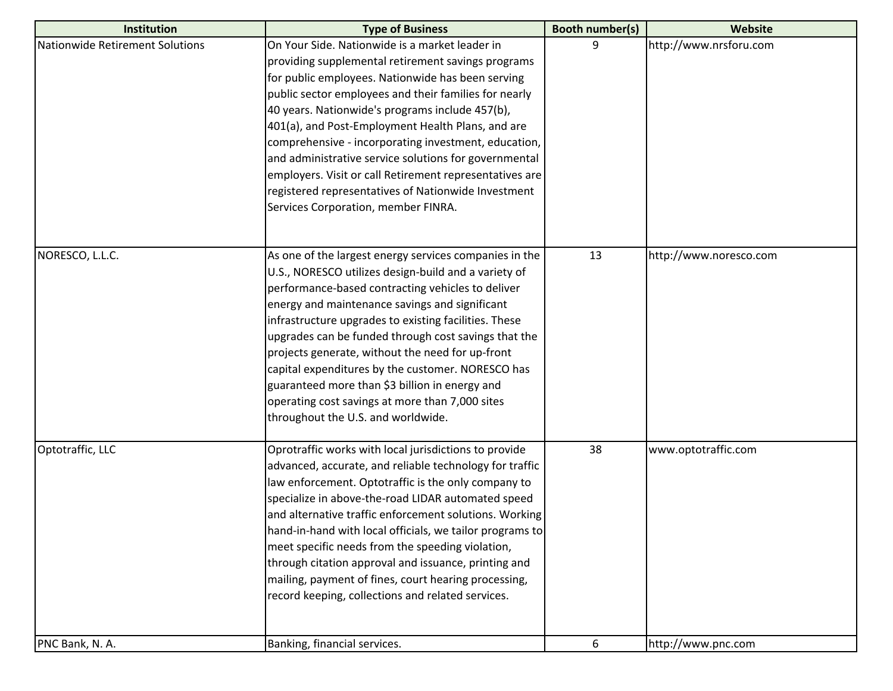| Institution                     | <b>Type of Business</b>                                  | <b>Booth number(s)</b> | <b>Website</b>         |
|---------------------------------|----------------------------------------------------------|------------------------|------------------------|
| Nationwide Retirement Solutions | On Your Side. Nationwide is a market leader in           | 9                      | http://www.nrsforu.com |
|                                 | providing supplemental retirement savings programs       |                        |                        |
|                                 | for public employees. Nationwide has been serving        |                        |                        |
|                                 | public sector employees and their families for nearly    |                        |                        |
|                                 | 40 years. Nationwide's programs include 457(b),          |                        |                        |
|                                 | 401(a), and Post-Employment Health Plans, and are        |                        |                        |
|                                 | comprehensive - incorporating investment, education,     |                        |                        |
|                                 | and administrative service solutions for governmental    |                        |                        |
|                                 | employers. Visit or call Retirement representatives are  |                        |                        |
|                                 | registered representatives of Nationwide Investment      |                        |                        |
|                                 | Services Corporation, member FINRA.                      |                        |                        |
|                                 |                                                          |                        |                        |
| NORESCO, L.L.C.                 | As one of the largest energy services companies in the   | 13                     | http://www.noresco.com |
|                                 | U.S., NORESCO utilizes design-build and a variety of     |                        |                        |
|                                 | performance-based contracting vehicles to deliver        |                        |                        |
|                                 | energy and maintenance savings and significant           |                        |                        |
|                                 | infrastructure upgrades to existing facilities. These    |                        |                        |
|                                 | upgrades can be funded through cost savings that the     |                        |                        |
|                                 | projects generate, without the need for up-front         |                        |                        |
|                                 | capital expenditures by the customer. NORESCO has        |                        |                        |
|                                 | guaranteed more than \$3 billion in energy and           |                        |                        |
|                                 | operating cost savings at more than 7,000 sites          |                        |                        |
|                                 | throughout the U.S. and worldwide.                       |                        |                        |
| Optotraffic, LLC                | Oprotraffic works with local jurisdictions to provide    | 38                     | www.optotraffic.com    |
|                                 | advanced, accurate, and reliable technology for traffic  |                        |                        |
|                                 | law enforcement. Optotraffic is the only company to      |                        |                        |
|                                 | specialize in above-the-road LIDAR automated speed       |                        |                        |
|                                 | and alternative traffic enforcement solutions. Working   |                        |                        |
|                                 | hand-in-hand with local officials, we tailor programs to |                        |                        |
|                                 | meet specific needs from the speeding violation,         |                        |                        |
|                                 | through citation approval and issuance, printing and     |                        |                        |
|                                 | mailing, payment of fines, court hearing processing,     |                        |                        |
|                                 | record keeping, collections and related services.        |                        |                        |
|                                 |                                                          |                        |                        |
| PNC Bank, N. A.                 | Banking, financial services.                             | 6                      | http://www.pnc.com     |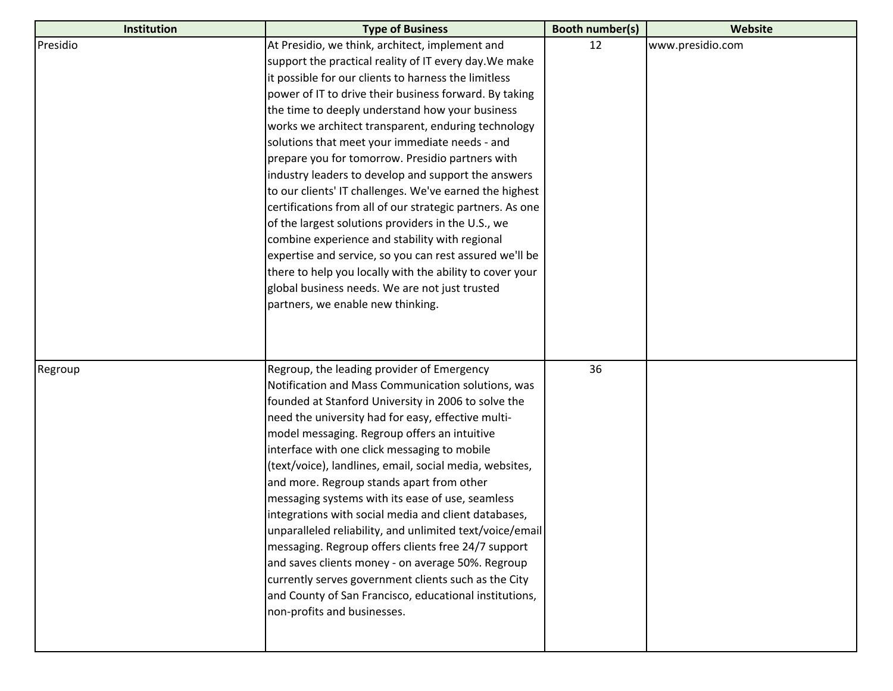| Institution | <b>Type of Business</b>                                   | <b>Booth number(s)</b> | Website          |
|-------------|-----------------------------------------------------------|------------------------|------------------|
| Presidio    | At Presidio, we think, architect, implement and           | 12                     | www.presidio.com |
|             | support the practical reality of IT every day. We make    |                        |                  |
|             | it possible for our clients to harness the limitless      |                        |                  |
|             | power of IT to drive their business forward. By taking    |                        |                  |
|             | the time to deeply understand how your business           |                        |                  |
|             | works we architect transparent, enduring technology       |                        |                  |
|             | solutions that meet your immediate needs - and            |                        |                  |
|             | prepare you for tomorrow. Presidio partners with          |                        |                  |
|             | industry leaders to develop and support the answers       |                        |                  |
|             | to our clients' IT challenges. We've earned the highest   |                        |                  |
|             | certifications from all of our strategic partners. As one |                        |                  |
|             | of the largest solutions providers in the U.S., we        |                        |                  |
|             | combine experience and stability with regional            |                        |                  |
|             | expertise and service, so you can rest assured we'll be   |                        |                  |
|             | there to help you locally with the ability to cover your  |                        |                  |
|             | global business needs. We are not just trusted            |                        |                  |
|             | partners, we enable new thinking.                         |                        |                  |
|             |                                                           |                        |                  |
|             |                                                           |                        |                  |
|             |                                                           |                        |                  |
| Regroup     | Regroup, the leading provider of Emergency                | 36                     |                  |
|             | Notification and Mass Communication solutions, was        |                        |                  |
|             | founded at Stanford University in 2006 to solve the       |                        |                  |
|             | need the university had for easy, effective multi-        |                        |                  |
|             | model messaging. Regroup offers an intuitive              |                        |                  |
|             | interface with one click messaging to mobile              |                        |                  |
|             | (text/voice), landlines, email, social media, websites,   |                        |                  |
|             | and more. Regroup stands apart from other                 |                        |                  |
|             | messaging systems with its ease of use, seamless          |                        |                  |
|             | integrations with social media and client databases,      |                        |                  |
|             | unparalleled reliability, and unlimited text/voice/email  |                        |                  |
|             | messaging. Regroup offers clients free 24/7 support       |                        |                  |
|             | and saves clients money - on average 50%. Regroup         |                        |                  |
|             | currently serves government clients such as the City      |                        |                  |
|             | and County of San Francisco, educational institutions,    |                        |                  |
|             | non-profits and businesses.                               |                        |                  |
|             |                                                           |                        |                  |
|             |                                                           |                        |                  |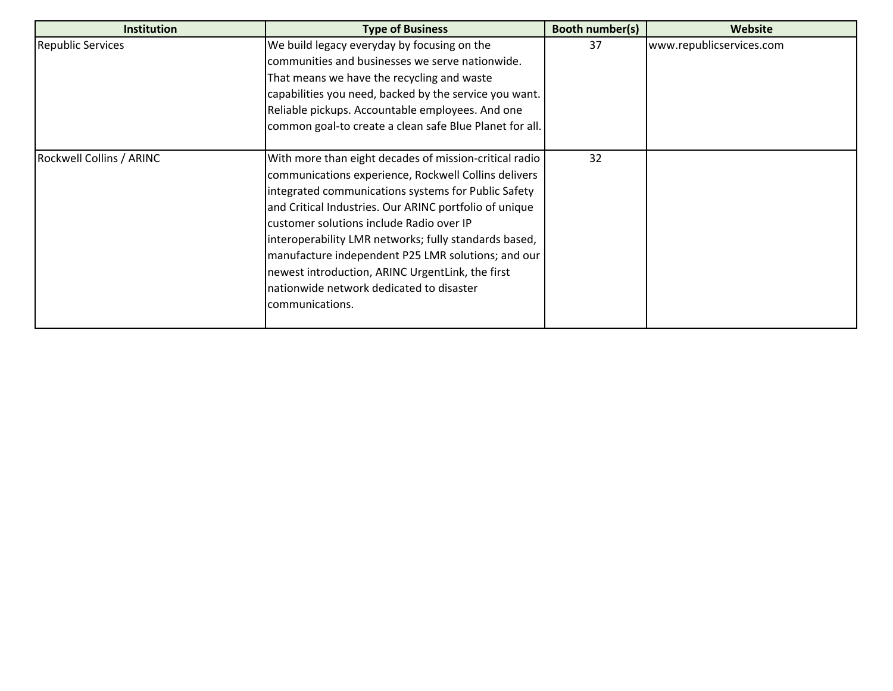| <b>Institution</b>       | <b>Type of Business</b>                                 | Booth number(s) | Website                  |
|--------------------------|---------------------------------------------------------|-----------------|--------------------------|
| <b>Republic Services</b> | We build legacy everyday by focusing on the             | 37              | www.republicservices.com |
|                          | communities and businesses we serve nationwide.         |                 |                          |
|                          | That means we have the recycling and waste              |                 |                          |
|                          | capabilities you need, backed by the service you want.  |                 |                          |
|                          | Reliable pickups. Accountable employees. And one        |                 |                          |
|                          | common goal-to create a clean safe Blue Planet for all. |                 |                          |
| Rockwell Collins / ARINC | With more than eight decades of mission-critical radio  | 32              |                          |
|                          | communications experience, Rockwell Collins delivers    |                 |                          |
|                          | integrated communications systems for Public Safety     |                 |                          |
|                          | and Critical Industries. Our ARINC portfolio of unique  |                 |                          |
|                          | customer solutions include Radio over IP                |                 |                          |
|                          | interoperability LMR networks; fully standards based,   |                 |                          |
|                          | manufacture independent P25 LMR solutions; and our      |                 |                          |
|                          | newest introduction, ARINC UrgentLink, the first        |                 |                          |
|                          | nationwide network dedicated to disaster                |                 |                          |
|                          | communications.                                         |                 |                          |
|                          |                                                         |                 |                          |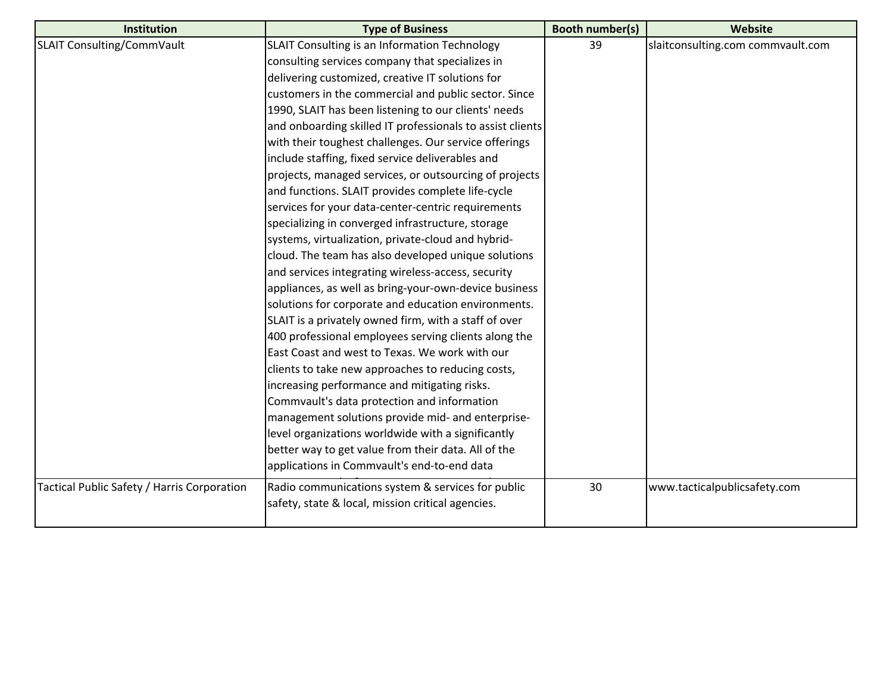| <b>Institution</b>                          | <b>Type of Business</b>                                   | <b>Booth number(s)</b> | Website                           |
|---------------------------------------------|-----------------------------------------------------------|------------------------|-----------------------------------|
| SLAIT Consulting/CommVault                  | SLAIT Consulting is an Information Technology             | 39                     | slaitconsulting.com commvault.com |
|                                             | consulting services company that specializes in           |                        |                                   |
|                                             | delivering customized, creative IT solutions for          |                        |                                   |
|                                             | customers in the commercial and public sector. Since      |                        |                                   |
|                                             | 1990, SLAIT has been listening to our clients' needs      |                        |                                   |
|                                             | and onboarding skilled IT professionals to assist clients |                        |                                   |
|                                             | with their toughest challenges. Our service offerings     |                        |                                   |
|                                             | include staffing, fixed service deliverables and          |                        |                                   |
|                                             | projects, managed services, or outsourcing of projects    |                        |                                   |
|                                             | and functions. SLAIT provides complete life-cycle         |                        |                                   |
|                                             | services for your data-center-centric requirements        |                        |                                   |
|                                             | specializing in converged infrastructure, storage         |                        |                                   |
|                                             | systems, virtualization, private-cloud and hybrid-        |                        |                                   |
|                                             | cloud. The team has also developed unique solutions       |                        |                                   |
|                                             | and services integrating wireless-access, security        |                        |                                   |
|                                             | appliances, as well as bring-your-own-device business     |                        |                                   |
|                                             | solutions for corporate and education environments.       |                        |                                   |
|                                             | SLAIT is a privately owned firm, with a staff of over     |                        |                                   |
|                                             | 400 professional employees serving clients along the      |                        |                                   |
|                                             | East Coast and west to Texas. We work with our            |                        |                                   |
|                                             | clients to take new approaches to reducing costs,         |                        |                                   |
|                                             | increasing performance and mitigating risks.              |                        |                                   |
|                                             | Commvault's data protection and information               |                        |                                   |
|                                             | management solutions provide mid- and enterprise-         |                        |                                   |
|                                             | level organizations worldwide with a significantly        |                        |                                   |
|                                             | better way to get value from their data. All of the       |                        |                                   |
|                                             | applications in Commvault's end-to-end data               |                        |                                   |
| Tactical Public Safety / Harris Corporation | Radio communications system & services for public         | 30                     | www.tacticalpublicsafety.com      |
|                                             | safety, state & local, mission critical agencies.         |                        |                                   |
|                                             |                                                           |                        |                                   |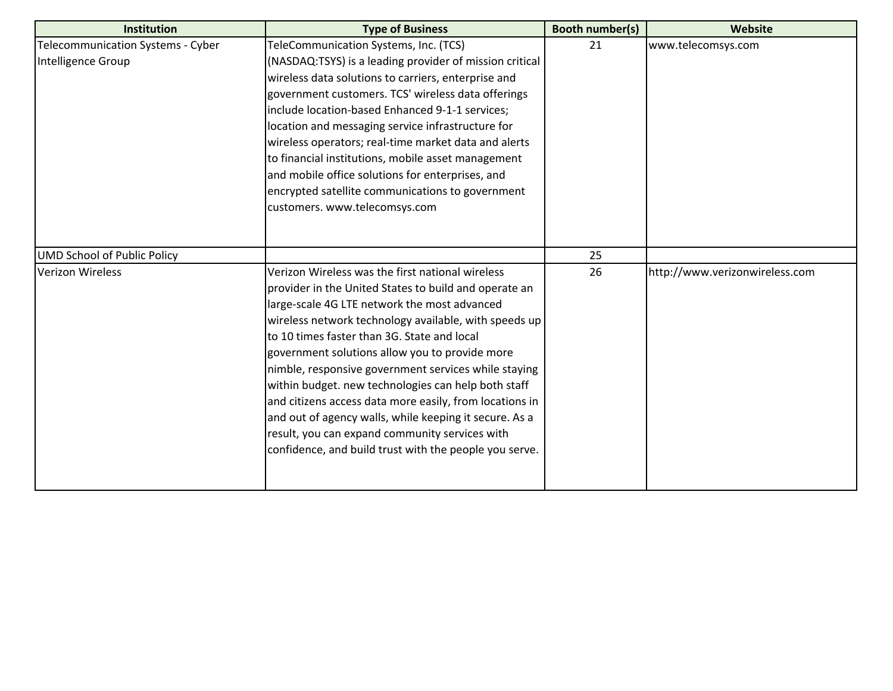| <b>Institution</b>                 | <b>Type of Business</b>                                 | <b>Booth number(s)</b> | Website                        |
|------------------------------------|---------------------------------------------------------|------------------------|--------------------------------|
| Telecommunication Systems - Cyber  | TeleCommunication Systems, Inc. (TCS)                   | 21                     | www.telecomsys.com             |
| Intelligence Group                 | (NASDAQ:TSYS) is a leading provider of mission critical |                        |                                |
|                                    | wireless data solutions to carriers, enterprise and     |                        |                                |
|                                    | government customers. TCS' wireless data offerings      |                        |                                |
|                                    | include location-based Enhanced 9-1-1 services;         |                        |                                |
|                                    | location and messaging service infrastructure for       |                        |                                |
|                                    | wireless operators; real-time market data and alerts    |                        |                                |
|                                    | to financial institutions, mobile asset management      |                        |                                |
|                                    | and mobile office solutions for enterprises, and        |                        |                                |
|                                    | encrypted satellite communications to government        |                        |                                |
|                                    | customers. www.telecomsys.com                           |                        |                                |
|                                    |                                                         |                        |                                |
|                                    |                                                         |                        |                                |
| <b>UMD School of Public Policy</b> |                                                         | 25                     |                                |
| <b>Verizon Wireless</b>            | Verizon Wireless was the first national wireless        | 26                     | http://www.verizonwireless.com |
|                                    | provider in the United States to build and operate an   |                        |                                |
|                                    | large-scale 4G LTE network the most advanced            |                        |                                |
|                                    | wireless network technology available, with speeds up   |                        |                                |
|                                    | to 10 times faster than 3G. State and local             |                        |                                |
|                                    | government solutions allow you to provide more          |                        |                                |
|                                    | nimble, responsive government services while staying    |                        |                                |
|                                    | within budget. new technologies can help both staff     |                        |                                |
|                                    | and citizens access data more easily, from locations in |                        |                                |
|                                    | and out of agency walls, while keeping it secure. As a  |                        |                                |
|                                    | result, you can expand community services with          |                        |                                |
|                                    | confidence, and build trust with the people you serve.  |                        |                                |
|                                    |                                                         |                        |                                |
|                                    |                                                         |                        |                                |